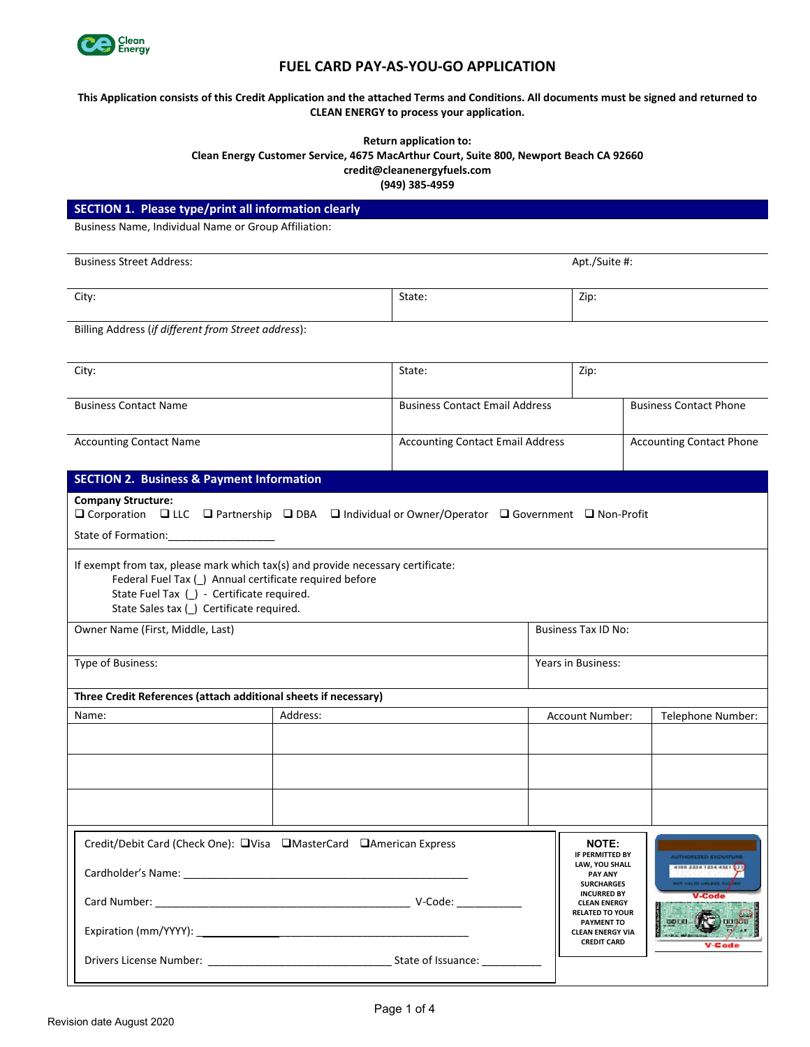

**SECTION 1. Please type/print all information clearly** 

# **FUEL CARD PAY-AS-YOU-GO APPLICATION**

## **This Application consists of this Credit Application and the attached Terms and Conditions. All documents must be signed and returned to CLEAN ENERGY to process your application.**

# **Return application to: Clean Energy Customer Service, 4675 MacArthur Court, Suite 800, Newport Beach CA 92660 credit@cleanenergyfuels.com (949) 385-4959**

| Business Name, Individual Name or Group Affiliation:                                                                                                                                                           |                                                         |                                         |  |                                                                                          |                                                        |  |
|----------------------------------------------------------------------------------------------------------------------------------------------------------------------------------------------------------------|---------------------------------------------------------|-----------------------------------------|--|------------------------------------------------------------------------------------------|--------------------------------------------------------|--|
| <b>Business Street Address:</b>                                                                                                                                                                                |                                                         |                                         |  | Apt./Suite #:                                                                            |                                                        |  |
| City:                                                                                                                                                                                                          |                                                         | State:                                  |  | Zip:                                                                                     |                                                        |  |
| Billing Address (if different from Street address):                                                                                                                                                            |                                                         |                                         |  |                                                                                          |                                                        |  |
| City:                                                                                                                                                                                                          |                                                         | State:                                  |  | Zip:                                                                                     |                                                        |  |
| <b>Business Contact Name</b>                                                                                                                                                                                   |                                                         | <b>Business Contact Email Address</b>   |  | <b>Business Contact Phone</b>                                                            |                                                        |  |
| <b>Accounting Contact Name</b>                                                                                                                                                                                 |                                                         | <b>Accounting Contact Email Address</b> |  |                                                                                          | <b>Accounting Contact Phone</b>                        |  |
| <b>SECTION 2. Business &amp; Payment Information</b><br><b>Company Structure:</b><br>□ Corporation □ LLC □ Partnership □ DBA □ Individual or Owner/Operator □ Government □ Non-Profit                          |                                                         |                                         |  |                                                                                          |                                                        |  |
| State of Formation:                                                                                                                                                                                            |                                                         |                                         |  |                                                                                          |                                                        |  |
| If exempt from tax, please mark which tax(s) and provide necessary certificate:<br>State Fuel Tax (_) - Certificate required.<br>State Sales tax (_) Certificate required.<br>Owner Name (First, Middle, Last) | Federal Fuel Tax (_) Annual certificate required before |                                         |  | <b>Business Tax ID No:</b>                                                               |                                                        |  |
|                                                                                                                                                                                                                |                                                         |                                         |  |                                                                                          |                                                        |  |
| Type of Business:                                                                                                                                                                                              |                                                         | Years in Business:                      |  |                                                                                          |                                                        |  |
| Three Credit References (attach additional sheets if necessary)                                                                                                                                                |                                                         |                                         |  |                                                                                          |                                                        |  |
| Name:                                                                                                                                                                                                          | Address:                                                |                                         |  | Account Number:                                                                          | Telephone Number:                                      |  |
|                                                                                                                                                                                                                |                                                         |                                         |  |                                                                                          |                                                        |  |
| Credit/Debit Card (Check One): □Visa □MasterCard □American Express                                                                                                                                             |                                                         |                                         |  | <b>NOTE:</b><br>IF PERMITTED BY<br>LAW, YOU SHALL<br>PAY ANY                             | <b>AUTHORIZED SIGNATURE</b><br>4100 2234 1234 4321 023 |  |
|                                                                                                                                                                                                                |                                                         |                                         |  | <b>SURCHARGES</b><br><b>INCURRED BY</b><br><b>CLEAN ENERGY</b><br><b>RELATED TO YOUR</b> | OF VALID UNLESS S<br><b>V-Code</b>                     |  |
|                                                                                                                                                                                                                |                                                         |                                         |  | <b>PAYMENT TO</b><br><b>CLEAN ENERGY VIA</b><br><b>CREDIT CARD</b>                       | 0000<br>V-Code                                         |  |
| Drivers License Number:                                                                                                                                                                                        |                                                         | State of Issuance:                      |  |                                                                                          |                                                        |  |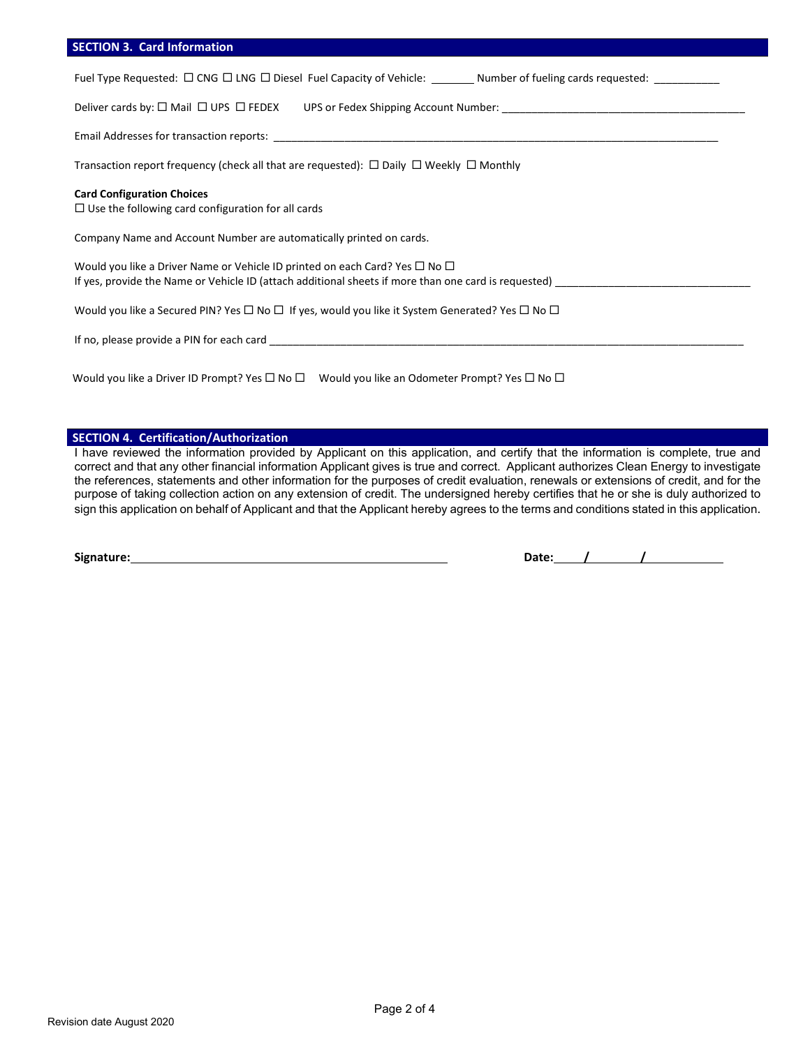## **SECTION 3. Card Information**

Fuel Type Requested:  $\Box$  CNG  $\Box$  LNG  $\Box$  Diesel Fuel Capacity of Vehicle: \_\_\_\_\_\_\_\_\_ Number of fueling cards requested: \_\_\_\_

Deliver cards by:  $\Box$  Mail  $\Box$  UPS  $\Box$  FEDEX UPS or Fedex Shipping Account Number:

Email Addresses for transaction reports:

Transaction report frequency (check all that are requested):  $\Box$  Daily  $\Box$  Weekly  $\Box$  Monthly

### **Card Configuration Choices**

 $\Box$  Use the following card configuration for all cards

Company Name and Account Number are automatically printed on cards.

Would you like a Driver Name or Vehicle ID printed on each Card? Yes  $\Box$  No  $\Box$ If yes, provide the Name or Vehicle ID (attach additional sheets if more than one card is requested) \_\_\_\_\_\_\_\_\_

Would you like a Secured PIN? Yes  $\Box$  No  $\Box$  If yes, would you like it System Generated? Yes  $\Box$  No  $\Box$ 

If no, please provide a PIN for each card \_\_\_\_\_\_\_\_\_\_\_\_\_\_\_\_\_\_\_\_\_\_\_\_\_\_\_\_\_\_\_\_\_\_\_\_\_\_\_\_\_\_\_\_\_\_\_\_\_\_\_\_\_\_\_\_\_\_\_\_\_\_\_\_\_\_\_\_\_\_\_\_\_\_\_\_\_\_\_\_

Would you like a Driver ID Prompt? Yes  $\Box$  No  $\Box$  Would you like an Odometer Prompt? Yes  $\Box$  No  $\Box$ 

# **SECTION 4. Certification/Authorization**

I have reviewed the information provided by Applicant on this application, and certify that the information is complete, true and correct and that any other financial information Applicant gives is true and correct. Applicant authorizes Clean Energy to investigate the references, statements and other information for the purposes of credit evaluation, renewals or extensions of credit, and for the purpose of taking collection action on any extension of credit. The undersigned hereby certifies that he or she is duly authorized to sign this application on behalf of Applicant and that the Applicant hereby agrees to the terms and conditions stated in this application.

**Signature: Date: / /**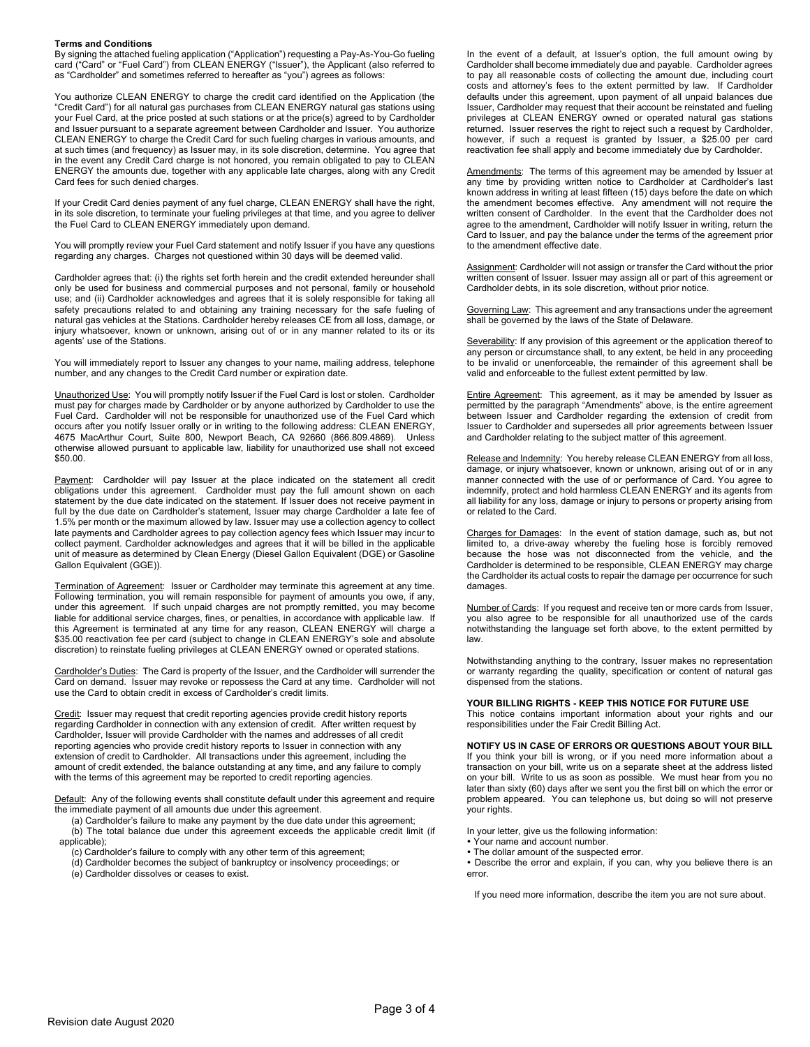#### **Terms and Conditions**

By signing the attached fueling application ("Application") requesting a Pay-As-You-Go fueling card ("Card" or "Fuel Card") from CLEAN ENERGY ("Issuer"), the Applicant (also referred to as "Cardholder" and sometimes referred to hereafter as "you") agrees as follows:

You authorize CLEAN ENERGY to charge the credit card identified on the Application (the "Credit Card") for all natural gas purchases from CLEAN ENERGY natural gas stations using your Fuel Card, at the price posted at such stations or at the price(s) agreed to by Cardholder and Issuer pursuant to a separate agreement between Cardholder and Issuer. You authorize CLEAN ENERGY to charge the Credit Card for such fueling charges in various amounts, and at such times (and frequency) as Issuer may, in its sole discretion, determine. You agree that in the event any Credit Card charge is not honored, you remain obligated to pay to CLEAN ENERGY the amounts due, together with any applicable late charges, along with any Credit Card fees for such denied charges.

If your Credit Card denies payment of any fuel charge, CLEAN ENERGY shall have the right, in its sole discretion, to terminate your fueling privileges at that time, and you agree to deliver the Fuel Card to CLEAN ENERGY immediately upon demand.

You will promptly review your Fuel Card statement and notify Issuer if you have any questions regarding any charges. Charges not questioned within 30 days will be deemed valid.

Cardholder agrees that: (i) the rights set forth herein and the credit extended hereunder shall only be used for business and commercial purposes and not personal, family or household use; and (ii) Cardholder acknowledges and agrees that it is solely responsible for taking all safety precautions related to and obtaining any training necessary for the safe fueling of natural gas vehicles at the Stations. Cardholder hereby releases CE from all loss, damage, or injury whatsoever, known or unknown, arising out of or in any manner related to its or its agents' use of the Stations.

You will immediately report to Issuer any changes to your name, mailing address, telephone number, and any changes to the Credit Card number or expiration date.

Unauthorized Use: You will promptly notify Issuer if the Fuel Card is lost or stolen. Cardholder must pay for charges made by Cardholder or by anyone authorized by Cardholder to use the Fuel Card. Cardholder will not be responsible for unauthorized use of the Fuel Card which occurs after you notify Issuer orally or in writing to the following address: CLEAN ENERGY, 4675 MacArthur Court, Suite 800, Newport Beach, CA 92660 (866.809.4869). Unless otherwise allowed pursuant to applicable law, liability for unauthorized use shall not exceed \$50.00.

Payment: Cardholder will pay Issuer at the place indicated on the statement all credit obligations under this agreement. Cardholder must pay the full amount shown on each statement by the due date indicated on the statement. If Issuer does not receive payment in full by the due date on Cardholder's statement, Issuer may charge Cardholder a late fee of 1.5% per month or the maximum allowed by law. Issuer may use a collection agency to collect late payments and Cardholder agrees to pay collection agency fees which Issuer may incur to collect payment. Cardholder acknowledges and agrees that it will be billed in the applicable unit of measure as determined by Clean Energy (Diesel Gallon Equivalent (DGE) or Gasoline Gallon Equivalent (GGE)).

Termination of Agreement: Issuer or Cardholder may terminate this agreement at any time. Following termination, you will remain responsible for payment of amounts you owe, if any, under this agreement. If such unpaid charges are not promptly remitted, you may become liable for additional service charges, fines, or penalties, in accordance with applicable law. If this Agreement is terminated at any time for any reason, CLEAN ENERGY will charge a \$35.00 reactivation fee per card (subject to change in CLEAN ENERGY's sole and absolute discretion) to reinstate fueling privileges at CLEAN ENERGY owned or operated stations.

Cardholder's Duties: The Card is property of the Issuer, and the Cardholder will surrender the Card on demand. Issuer may revoke or repossess the Card at any time. Cardholder will not use the Card to obtain credit in excess of Cardholder's credit limits.

Credit: Issuer may request that credit reporting agencies provide credit history reports regarding Cardholder in connection with any extension of credit. After written request by Cardholder, Issuer will provide Cardholder with the names and addresses of all credit reporting agencies who provide credit history reports to Issuer in connection with any extension of credit to Cardholder. All transactions under this agreement, including the amount of credit extended, the balance outstanding at any time, and any failure to comply with the terms of this agreement may be reported to credit reporting agencies.

Default: Any of the following events shall constitute default under this agreement and require the immediate payment of all amounts due under this agreement.

(a) Cardholder's failure to make any payment by the due date under this agreement; (b) The total balance due under this agreement exceeds the applicable credit limit (if applicable);

(c) Cardholder's failure to comply with any other term of this agreement;

(d) Cardholder becomes the subject of bankruptcy or insolvency proceedings; or

(e) Cardholder dissolves or ceases to exist.

In the event of a default, at Issuer's option, the full amount owing by Cardholder shall become immediately due and payable. Cardholder agrees to pay all reasonable costs of collecting the amount due, including court costs and attorney's fees to the extent permitted by law. If Cardholder defaults under this agreement, upon payment of all unpaid balances due Issuer, Cardholder may request that their account be reinstated and fueling privileges at CLEAN ENERGY owned or operated natural gas stations returned. Issuer reserves the right to reject such a request by Cardholder, however, if such a request is granted by Issuer, a \$25.00 per card reactivation fee shall apply and become immediately due by Cardholder.

Amendments: The terms of this agreement may be amended by Issuer at any time by providing written notice to Cardholder at Cardholder's last known address in writing at least fifteen (15) days before the date on which the amendment becomes effective. Any amendment will not require the written consent of Cardholder. In the event that the Cardholder does not agree to the amendment, Cardholder will notify Issuer in writing, return the Card to Issuer, and pay the balance under the terms of the agreement prior to the amendment effective date.

Assignment: Cardholder will not assign or transfer the Card without the prior written consent of Issuer. Issuer may assign all or part of this agreement or Cardholder debts, in its sole discretion, without prior notice.

Governing Law: This agreement and any transactions under the agreement shall be governed by the laws of the State of Delaware.

Severability: If any provision of this agreement or the application thereof to any person or circumstance shall, to any extent, be held in any proceeding to be invalid or unenforceable, the remainder of this agreement shall be valid and enforceable to the fullest extent permitted by law.

Entire Agreement: This agreement, as it may be amended by Issuer as permitted by the paragraph "Amendments" above, is the entire agreement between Issuer and Cardholder regarding the extension of credit from Issuer to Cardholder and supersedes all prior agreements between Issuer and Cardholder relating to the subject matter of this agreement.

Release and Indemnity: You hereby release CLEAN ENERGY from all loss, damage, or injury whatsoever, known or unknown, arising out of or in any manner connected with the use of or performance of Card. You agree to indemnify, protect and hold harmless CLEAN ENERGY and its agents from all liability for any loss, damage or injury to persons or property arising from or related to the Card.

Charges for Damages: In the event of station damage, such as, but not limited to, a drive-away whereby the fueling hose is forcibly removed because the hose was not disconnected from the vehicle, and the Cardholder is determined to be responsible, CLEAN ENERGY may charge the Cardholder its actual costs to repair the damage per occurrence for such damages.

Number of Cards: If you request and receive ten or more cards from Issuer, you also agree to be responsible for all unauthorized use of the cards notwithstanding the language set forth above, to the extent permitted by law.

Notwithstanding anything to the contrary, Issuer makes no representation or warranty regarding the quality, specification or content of natural gas dispensed from the stations.

### **YOUR BILLING RIGHTS - KEEP THIS NOTICE FOR FUTURE USE**

This notice contains important information about your rights and our responsibilities under the Fair Credit Billing Act.

**NOTIFY US IN CASE OF ERRORS OR QUESTIONS ABOUT YOUR BILL** If you think your bill is wrong, or if you need more information about a transaction on your bill, write us on a separate sheet at the address listed on your bill. Write to us as soon as possible. We must hear from you no later than sixty (60) days after we sent you the first bill on which the error or problem appeared. You can telephone us, but doing so will not preserve your rights.

In your letter, give us the following information:

- Your name and account number.
- The dollar amount of the suspected error.
- Describe the error and explain, if you can, why you believe there is an error.

If you need more information, describe the item you are not sure about.